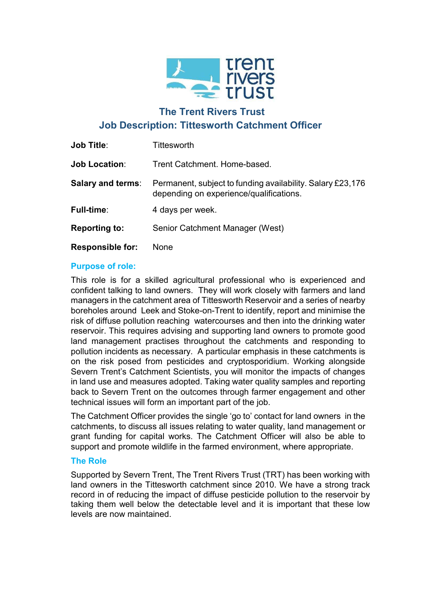

# The Trent Rivers Trust Job Description: Tittesworth Catchment Officer

| Job Title:               | Tittesworth                                                                                           |
|--------------------------|-------------------------------------------------------------------------------------------------------|
| <b>Job Location:</b>     | Trent Catchment, Home-based.                                                                          |
| <b>Salary and terms:</b> | Permanent, subject to funding availability. Salary £23,176<br>depending on experience/qualifications. |
| <b>Full-time:</b>        | 4 days per week.                                                                                      |
| <b>Reporting to:</b>     | Senior Catchment Manager (West)                                                                       |
| <b>Responsible for:</b>  | None                                                                                                  |

#### Purpose of role:

This role is for a skilled agricultural professional who is experienced and confident talking to land owners. They will work closely with farmers and land managers in the catchment area of Tittesworth Reservoir and a series of nearby boreholes around Leek and Stoke-on-Trent to identify, report and minimise the risk of diffuse pollution reaching watercourses and then into the drinking water reservoir. This requires advising and supporting land owners to promote good land management practises throughout the catchments and responding to pollution incidents as necessary. A particular emphasis in these catchments is on the risk posed from pesticides and cryptosporidium. Working alongside Severn Trent's Catchment Scientists, you will monitor the impacts of changes in land use and measures adopted. Taking water quality samples and reporting back to Severn Trent on the outcomes through farmer engagement and other technical issues will form an important part of the job.

The Catchment Officer provides the single 'go to' contact for land owners in the catchments, to discuss all issues relating to water quality, land management or grant funding for capital works. The Catchment Officer will also be able to support and promote wildlife in the farmed environment, where appropriate.

#### The Role

Supported by Severn Trent, The Trent Rivers Trust (TRT) has been working with land owners in the Tittesworth catchment since 2010. We have a strong track record in of reducing the impact of diffuse pesticide pollution to the reservoir by taking them well below the detectable level and it is important that these low levels are now maintained.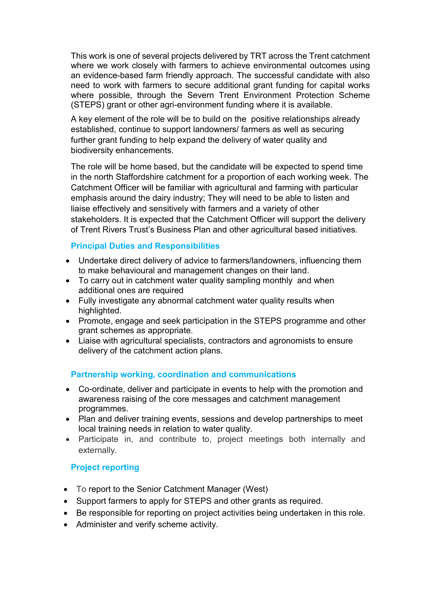This work is one of several projects delivered by TRT across the Trent catchment where we work closely with farmers to achieve environmental outcomes using an evidence-based farm friendly approach. The successful candidate with also need to work with farmers to secure additional grant funding for capital works where possible, through the Severn Trent Environment Protection Scheme (STEPS) grant or other agri-environment funding where it is available.

A key element of the role will be to build on the positive relationships already established, continue to support landowners/ farmers as well as securing further grant funding to help expand the delivery of water quality and biodiversity enhancements.

The role will be home based, but the candidate will be expected to spend time in the north Staffordshire catchment for a proportion of each working week. The Catchment Officer will be familiar with agricultural and farming with particular emphasis around the dairy industry; They will need to be able to listen and liaise effectively and sensitively with farmers and a variety of other stakeholders. It is expected that the Catchment Officer will support the delivery of Trent Rivers Trust's Business Plan and other agricultural based initiatives.

#### Principal Duties and Responsibilities

- Undertake direct delivery of advice to farmers/landowners, influencing them to make behavioural and management changes on their land.
- To carry out in catchment water quality sampling monthly and when additional ones are required
- Fully investigate any abnormal catchment water quality results when highlighted.
- Promote, engage and seek participation in the STEPS programme and other grant schemes as appropriate.
- Liaise with agricultural specialists, contractors and agronomists to ensure delivery of the catchment action plans.

## Partnership working, coordination and communications

- Co-ordinate, deliver and participate in events to help with the promotion and awareness raising of the core messages and catchment management programmes.
- Plan and deliver training events, sessions and develop partnerships to meet local training needs in relation to water quality.
- Participate in, and contribute to, project meetings both internally and externally.

## Project reporting

- To report to the Senior Catchment Manager (West)
- Support farmers to apply for STEPS and other grants as required.
- Be responsible for reporting on project activities being undertaken in this role.
- Administer and verify scheme activity.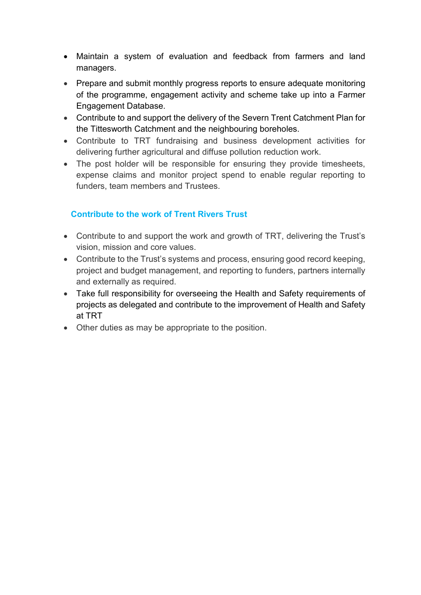- Maintain a system of evaluation and feedback from farmers and land managers.
- Prepare and submit monthly progress reports to ensure adequate monitoring of the programme, engagement activity and scheme take up into a Farmer Engagement Database.
- Contribute to and support the delivery of the Severn Trent Catchment Plan for the Tittesworth Catchment and the neighbouring boreholes.
- Contribute to TRT fundraising and business development activities for delivering further agricultural and diffuse pollution reduction work.
- The post holder will be responsible for ensuring they provide timesheets, expense claims and monitor project spend to enable regular reporting to funders, team members and Trustees.

## Contribute to the work of Trent Rivers Trust

- Contribute to and support the work and growth of TRT, delivering the Trust's vision, mission and core values.
- Contribute to the Trust's systems and process, ensuring good record keeping, project and budget management, and reporting to funders, partners internally and externally as required.
- Take full responsibility for overseeing the Health and Safety requirements of projects as delegated and contribute to the improvement of Health and Safety at TRT
- Other duties as may be appropriate to the position.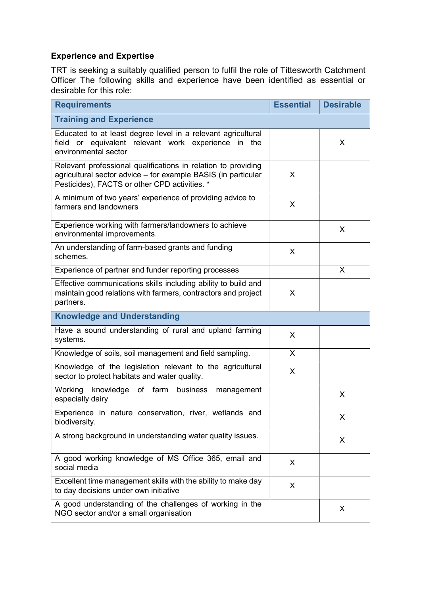# Experience and Expertise

TRT is seeking a suitably qualified person to fulfil the role of Tittesworth Catchment Officer The following skills and experience have been identified as essential or desirable for this role:

| <b>Requirements</b>                                                                                                                                                             | <b>Essential</b> | <b>Desirable</b> |
|---------------------------------------------------------------------------------------------------------------------------------------------------------------------------------|------------------|------------------|
| <b>Training and Experience</b>                                                                                                                                                  |                  |                  |
| Educated to at least degree level in a relevant agricultural<br>field or equivalent relevant work experience in the<br>environmental sector                                     |                  | X                |
| Relevant professional qualifications in relation to providing<br>agricultural sector advice - for example BASIS (in particular<br>Pesticides), FACTS or other CPD activities. * | X                |                  |
| A minimum of two years' experience of providing advice to<br>farmers and landowners                                                                                             | X                |                  |
| Experience working with farmers/landowners to achieve<br>environmental improvements.                                                                                            |                  | X                |
| An understanding of farm-based grants and funding<br>schemes.                                                                                                                   | X                |                  |
| Experience of partner and funder reporting processes                                                                                                                            |                  | X                |
| Effective communications skills including ability to build and<br>maintain good relations with farmers, contractors and project<br>partners.                                    | X                |                  |
| <b>Knowledge and Understanding</b>                                                                                                                                              |                  |                  |
| Have a sound understanding of rural and upland farming<br>systems.                                                                                                              | X                |                  |
| Knowledge of soils, soil management and field sampling.                                                                                                                         | X                |                  |
| Knowledge of the legislation relevant to the agricultural<br>sector to protect habitats and water quality.                                                                      | X                |                  |
| Working<br>of farm<br>knowledge<br>business<br>management<br>especially dairy                                                                                                   |                  | X                |
| Experience in nature conservation, river, wetlands and<br>biodiversity.                                                                                                         |                  | X                |
| A strong background in understanding water quality issues.                                                                                                                      |                  | X                |
| A good working knowledge of MS Office 365, email and<br>social media                                                                                                            | X                |                  |
| Excellent time management skills with the ability to make day<br>to day decisions under own initiative                                                                          | X                |                  |
| A good understanding of the challenges of working in the<br>NGO sector and/or a small organisation                                                                              |                  | X                |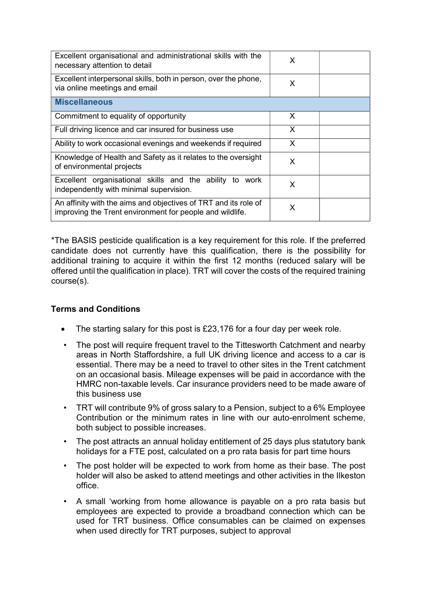| Excellent organisational and administrational skills with the<br>necessary attention to detail                              | X |  |  |
|-----------------------------------------------------------------------------------------------------------------------------|---|--|--|
| Excellent interpersonal skills, both in person, over the phone,<br>via online meetings and email                            | X |  |  |
| <b>Miscellaneous</b>                                                                                                        |   |  |  |
| Commitment to equality of opportunity                                                                                       | X |  |  |
| Full driving licence and car insured for business use                                                                       | X |  |  |
| Ability to work occasional evenings and weekends if required                                                                | X |  |  |
| Knowledge of Health and Safety as it relates to the oversight<br>of environmental projects                                  | X |  |  |
| Excellent organisational skills and the ability to work<br>independently with minimal supervision.                          | X |  |  |
| An affinity with the aims and objectives of TRT and its role of<br>improving the Trent environment for people and wildlife. | X |  |  |

\*The BASIS pesticide qualification is a key requirement for this role. If the preferred candidate does not currently have this qualification, there is the possibility for additional training to acquire it within the first 12 months (reduced salary will be offered until the qualification in place). TRT will cover the costs of the required training course(s).

## Terms and Conditions

- The starting salary for this post is £23,176 for a four day per week role.
- The post will require frequent travel to the Tittesworth Catchment and nearby areas in North Staffordshire, a full UK driving licence and access to a car is essential. There may be a need to travel to other sites in the Trent catchment on an occasional basis. Mileage expenses will be paid in accordance with the HMRC non-taxable levels. Car insurance providers need to be made aware of this business use
- TRT will contribute 9% of gross salary to a Pension, subject to a 6% Employee Contribution or the minimum rates in line with our auto-enrolment scheme, both subject to possible increases.
- The post attracts an annual holiday entitlement of 25 days plus statutory bank holidays for a FTE post, calculated on a pro rata basis for part time hours
- The post holder will be expected to work from home as their base. The post holder will also be asked to attend meetings and other activities in the Ilkeston office.
- A small 'working from home allowance is payable on a pro rata basis but employees are expected to provide a broadband connection which can be used for TRT business. Office consumables can be claimed on expenses when used directly for TRT purposes, subject to approval